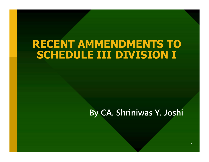#### RECENT AMMENDMENTS TO SCHEDULE III DIVISION I

#### By CA. Shriniwas Y. Joshi

1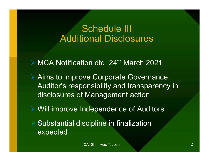#### Schedule III Additional Disclosures

► MCA Notification dtd. 24<sup>th</sup> March 2021

 Aims to improve Corporate Governance, Auditor's responsibility and transparency in disclosures of Management action

Will improve Independence of Auditors

 Substantial discipline in finalization expected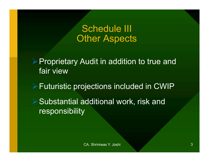Schedule III **Other Aspects** 

**▶ Proprietary Audit in addition to true and** fair view

Futuristic projections included in CWIP

**▶ Substantial additional work, risk and** responsibility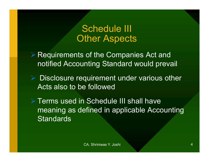#### Schedule III **Other Aspects**

- **▶ Requirements of the Companies Act and** notified Accounting Standard would prevail
- $\triangleright$  Disclosure requirement under various other Acts also to be followed
- **Ferms used in Schedule III shall have** meaning as defined in applicable Accounting **Standards**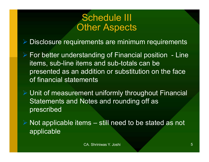#### Schedule III **Other Aspects**

- Disclosure requirements are minimum requirements
- For better understanding of Financial position<br>For better understanding of Financial position Line<br>items, sub-line items and sub-totals can be<br>presented as an addition or substitution on the face items, sub-line items and sub-totals can be presented as an addition or substitution on the face of financial statements ► For better understanding or Financial position – Line<br>items, sub-line items and sub-totals can be<br>presented as an addition or substitution on the face<br>of financial statements<br>> Unit of measurement uniformly throughout F
- Unit of measurement uniformly throughout Financial Statements and Notes and rounding off as prescribed
- applicable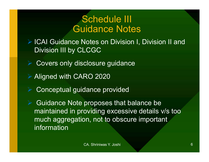#### Schedule III Guidance Notes

▶ ICAI Guidance Notes on Division I, Division II and Division III by CLCGC

- Covers only disclosure guidance
- **▶ Aligned with CARO 2020** 
	- Conceptual guidance provided

 Guidance Note proposes that balance be maintained in providing excessive details v/s too much aggregation, not to obscure important **information**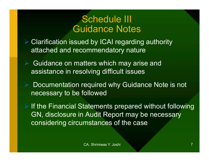#### Schedule III Guidance Notes

- **► Clarification issued by ICAI regarding authority** attached and recommendatory nature
	- Guidance on matters which may arise and assistance in resolving difficult issues
- ▶ Documentation required why Guidance Note is not necessary to be followed
- $\triangleright$  If the Financial Statements prepared without following GN, disclosure in Audit Report may be necessary considering circumstances of the case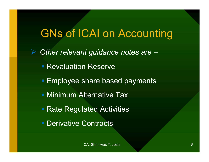# GNs of ICAI on Accounting

Other relevant guidance notes are -**Revaluation Reserve Employee share based payments - Minimum Alternative Tax** ■ Rate Regulated Activities **Derivative Contracts** Share based payments<br>Iternative Tax<br>ated Activities<br>Contracts<br>CA. Shriniwas Y. Joshi 8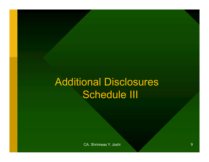# Additional Disclosures Schedule III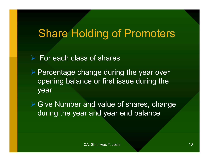# Share Holding of Promoters

- $\triangleright$  For each class of shares
- $\triangleright$  Percentage change during the year over opening balance or first issue during the year

**▶ Give Number and value of shares, change** during the year and year end balance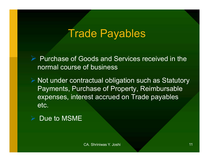# Trade Payables

 $\triangleright$  Purchase of Goods and Services received in the normal course of business

 $\triangleright$  Not under contractual obligation such as Statutory Payments, Purchase of Property, Reimbursable expenses, interest accrued on Trade payables etc.



CA. Shriniwas Y. Joshi 11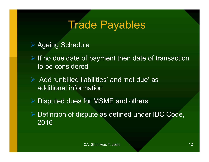# Trade Payables

- ▶ Ageing Schedule
- $\triangleright$  If no due date of payment then date of transaction to be considered
- $\triangleright$  Add 'unbilled liabilities' and 'not due' as additional information
- **▶ Disputed dues for MSME and others**
- **▶ Definition of dispute as defined under IBC Code,** 2016 abilities' and 'not due' as<br>mation<br>for MSME and others<br>pute as defined under IBC Code,<br>c<sub>A. Shriniwas Y. Joshi</sub> 12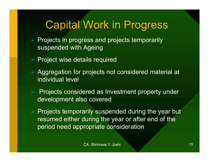# Capital Work in Progress

- $\triangleright$  Projects in progress and projects temporarily suspended with Ageing
- $\triangleright$  Project wise details required
- Aggregation for projects not considered material at individual level
- $\triangleright$  Projects considered as Investment property under development also covered
- $\triangleright$  Projects temporarily suspended during the year but resumed either during the year or after end of the period need appropriate consideration ered as Investment property under<br>
o covered<br>
arily suspended during the year but<br>
during the year or after end of the<br>
ropriate consideration<br>
CA. Shriniwas Y. Joshi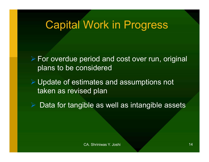#### Capital Work in Progress

 For overdue period and cost over run, original plans to be considered

 Update of estimates and assumptions not taken as revised plan mates and assumptions not<br>ed plan<br>ble as well as intangible assets<br>c<sub>A. Shriniwas Y. Joshi</sub>

Data for tangible as well as intangible assets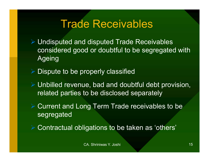## Trade Receivables

- Undisputed and disputed Trade Receivables considered good or doubtful to be segregated with Ageing
- $\triangleright$  Dispute to be properly classified
- Unbilled revenue, bad and doubtful debt provision, related parties to be disclosed separately The, bad and doubtful debt provision,<br>to be disclosed separately<br>ng Term Trade receivables to be<br>igations to be taken as 'others'<br>c<sub>A. Shriniwas Y. Joshi</sub> 15
- **▶ Current and Long Term Trade receivables to be** segregated
- Contractual obligations to be taken as 'others'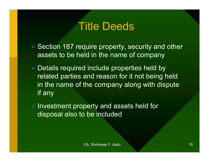### Title Deeds

- ▶ Section 187 require property, security and other assets to be held in the name of company
- $\triangleright$  Details required include properties held by related parties and reason for it not being held in the name of the company along with dispute if any
- **▶ Investment property and assets held for** disposal also to be included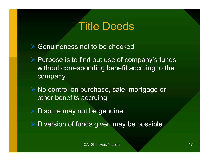## Title Deeds

- **▶ Genuineness not to be checked**
- $\triangleright$  Purpose is to find out use of company's funds without corresponding benefit accruing to the company
- **► No control on purchase, sale, mortgage or** other benefits accruing
- **Dispute may not be genuine**
- $\triangleright$  Diversion of funds given may be possible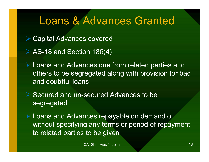# Loans & Advances Granted

- Capital Advances covered
- ▶ AS-18 and Section 186(4)
- Loans and Advances due from related parties and others to be segregated along with provision for bad and doubtful loans
- **► Secured and un-secured Advances to be** segregated
	- Loans and Advances repayable on demand or without specifying any terms or period of repayment to related parties to be given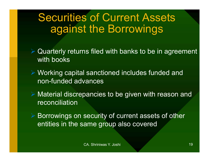# Securities of Current Assets against the Borrowings

- **▶ Quarterly returns filed with banks to be in agreement** with books
- Working capital sanctioned includes funded and non-funded advances
- Material discrepancies to be given with reason and reconciliation
- **▶ Borrowings on security of current assets of other** entities in the same group also covered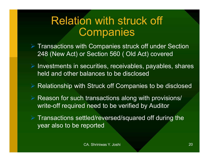## Relation with struck off **Companies**

- $\triangleright$  Transactions with Companies struck off under Section 248 (New Act) or Section 560 ( Old Act) covered
- $\triangleright$  Investments in securities, receivables, payables, shares held and other balances to be disclosed
- ▶ Relationship with Struck off Companies to be disclosed
- Reason for such transactions along with provisions/ write-off required need to be verified by Auditor
- $\triangleright$  Transactions settled/reversed/squared off during the year also to be reported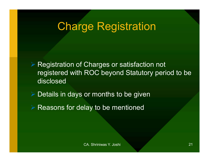# Charge Registration

**▶ Registration of Charges or satisfaction not** registered with ROC beyond Statutory period to be disclosed

 $\triangleright$  Details in days or months to be given

 $\triangleright$  Reasons for delay to be mentioned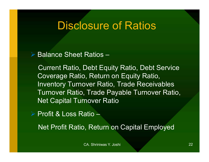#### Disclosure of Ratios

 $\triangleright$  Balance Sheet Ratios -

Current Ratio, Debt Equity Ratio, Debt Service Coverage Ratio, Return on Equity Ratio, Inventory Turnover Ratio, Trade Receivables Turnover Ratio, Trade Payable Turnover Ratio, Net Capital Turnover Ratio

**▶ Profit & Loss Ratio –** 

Net Profit Ratio, Return on Capital Employed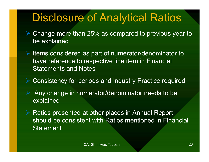# Disclosure of Analytical Ratios

- $\triangleright$  Change more than 25% as compared to previous year to be explained
- $\triangleright$  Items considered as part of numerator/denominator to have reference to respective line item in Financial Statements and Notes
- Consistency for periods and Industry Practice required.
	- Any change in numerator/denominator needs to be explained
- ▶ Ratios presented at other places in Annual Report should be consistent with Ratios mentioned in Financial **Statement** eriods and Industry Practice required.<br>
merator/denominator needs to be<br>
at other places in Annual Report<br>
ent with Ratios mentioned in Financial<br>
CA. Shriniwas Y. Joshi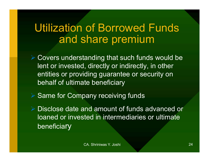## Utilization of Borrowed Funds and share premium

**► Covers understanding that such funds would be** lent or invested, directly or indirectly, in other entities or providing guarantee or security on behalf of ultimate beneficiary

**▶ Same for Company receiving funds** 

 Disclose date and amount of funds advanced or loaned or invested in intermediaries or ultimate beneficiary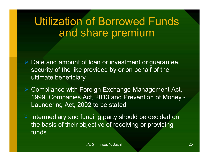# Utilization of Borrowed Funds and share premium

- $\triangleright$  Date and amount of loan or investment or guarantee, security of the like provided by or on behalf of the ultimate beneficiary
- **▶ Compliance with Foreign Exchange Management Act,** 1999, Companies Act, 2013 and Prevention of Money - Laundering Act, 2002 to be stated Preign Exchange Management Act,<br>
Not, 2013 and Prevention of Money -<br>
D2 to be stated<br>
Inding party should be decided on<br>
pjective of receiving or providing<br>
CA. Shriniwas Y. Joshi
- $\triangleright$  Intermediary and funding party should be decided on the basis of their objective of receiving or providing funds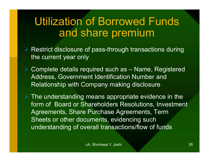# Utilization of Borrowed Funds and share premium

- ▶ Restrict disclosure of pass-through transactions during the current year only
- Utilization of Borrowed Funds<br>
and share premium<br>
> Restrict disclosure of pass-through transactions during<br>
the current year only<br>
> Complete details required such as Name, Registered<br>
Address, Government Identification Address, Government Identification Number and Relationship with Company making disclosure

 $\triangleright$  The understanding means appropriate evidence in the form of Board or Shareholders Resolutions, Investment Agreements, Share Purchase Agreements, Term Sheets or other documents, evidencing such understanding of overall transactions/flow of funds Philometrication Number and<br>
ompany making disclosure<br>
means appropriate evidence in the<br>
nareholders Resolutions, Investment<br>
Purchase Agreements, Term<br>
cuments, evidencing such<br>
verall transactions/flow of funds<br>
cA. Shr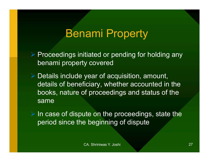# Benami Property

 $\triangleright$  Proceedings initiated or pending for holding any **Benami Property<br>Proceedings initiated or pending for hole<br>Details include year of acquisition, amore** 

 $\triangleright$  Details include year of acquisition, amount, details of beneficiary, whether accounted in the books, nature of proceedings and status of the same

 $\triangleright$  In case of dispute on the proceedings, state the period since the beginning of dispute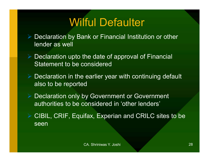# Wilful Defaulter

- Declaration by Bank or Financial Institution or other lender as well Wilful Defaulter<br>
> Declaration by Bank or Financial Institution or other<br>
lender as well<br>
> Declaration upto the date of approval of Financial<br>
Statement to be considered
	- Statement to be considered
- $\triangleright$  Declaration in the earlier year with continuing default also to be reported
	- Declaration only by Government or Government authorities to be considered in 'other lenders'
- CIBIL, CRIF, Equifax, Experian and CRILC sites to be seen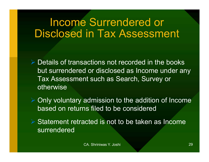## Income Surrendered or Disclosed in Tax Assessment

 $\triangleright$  Details of transactions not recorded in the books but surrendered or disclosed as Income under any Tax Assessment such as Search, Survey or otherwise

 Only voluntary admission to the addition of Income based on returns filed to be considered

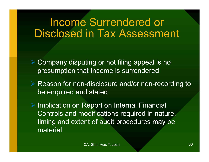## Income Surrendered or Disclosed in Tax Assessment

- Company disputing or not filing appeal is no presumption that Income is surrendered
- **▶ Reason for non-disclosure and/or non-recording to** be enquired and stated

**▶ Implication on Report on Internal Financial** Controls and modifications required in nature, timing and extent of audit procedures may be material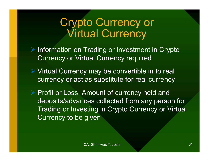## Crypto Currency or Virtual Currency

- $\triangleright$  Information on Trading or Investment in Crypto Currency or Virtual Currency required
- Virtual Currency may be convertible in to real currency or act as substitute for real currency
- ▶ Profit or Loss, Amount of currency held and deposits/advances collected from any person for Trading or Investing in Crypto Currency or Virtual Currency to be given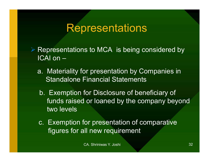### **Representations**

- $\triangleright$  Representations to MCA is being considered by ICAI on –
	- a. Materiality for presentation by Companies in Standalone Financial Statements
	- b. Exemption for Disclosure of beneficiary of funds raised or loaned by the company beyond two levels
	- c. Exemption for presentation of comparative figures for all new requirement